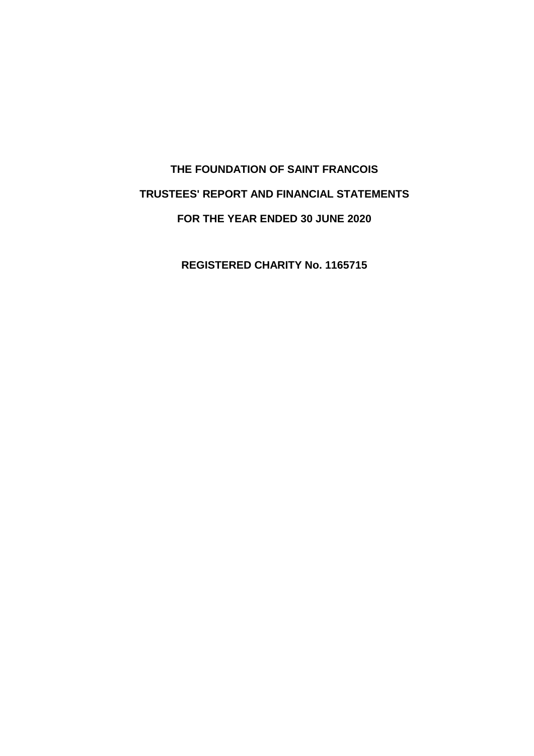# **THE FOUNDATION OF SAINT FRANCOIS TRUSTEES' REPORT AND FINANCIAL STATEMENTS FOR THE YEAR ENDED 30 JUNE 2020**

**REGISTERED CHARITY No. 1165715**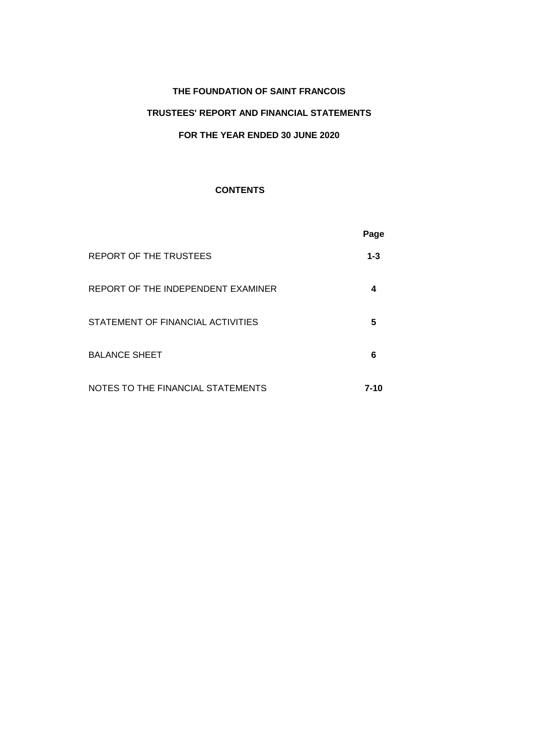# **TRUSTEES' REPORT AND FINANCIAL STATEMENTS**

# **FOR THE YEAR ENDED 30 JUNE 2020**

# **CONTENTS**

|                                    | Page     |
|------------------------------------|----------|
| REPORT OF THE TRUSTEES             | $1 - 3$  |
| REPORT OF THE INDEPENDENT EXAMINER | 4        |
| STATEMENT OF FINANCIAL ACTIVITIES  | 5        |
| <b>BALANCE SHEET</b>               | 6        |
| NOTES TO THE FINANCIAL STATEMENTS  | $7 - 10$ |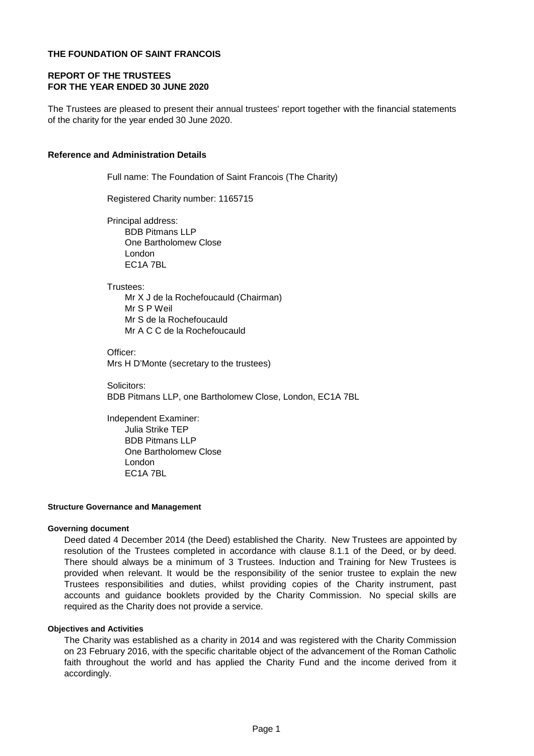# **REPORT OF THE TRUSTEES FOR THE YEAR ENDED 30 JUNE 2020**

The Trustees are pleased to present their annual trustees' report together with the financial statements of the charity for the year ended 30 June 2020.

### **Reference and Administration Details**

Full name: The Foundation of Saint Francois (The Charity)

Registered Charity number: 1165715

Principal address: BDB Pitmans LLP One Bartholomew Close London EC1A 7BL

Trustees:

Mr X J de la Rochefoucauld (Chairman) Mr S P Weil Mr S de la Rochefoucauld Mr A C C de la Rochefoucauld

Officer: Mrs H D'Monte (secretary to the trustees)

Solicitors: BDB Pitmans LLP, one Bartholomew Close, London, EC1A 7BL

Independent Examiner: Julia Strike TEP BDB Pitmans LLP One Bartholomew Close London EC1A 7BL

### **Structure Governance and Management**

#### **Governing document**

Deed dated 4 December 2014 (the Deed) established the Charity. New Trustees are appointed by resolution of the Trustees completed in accordance with clause 8.1.1 of the Deed, or by deed. There should always be a minimum of 3 Trustees. Induction and Training for New Trustees is provided when relevant. It would be the responsibility of the senior trustee to explain the new Trustees responsibilities and duties, whilst providing copies of the Charity instrument, past accounts and guidance booklets provided by the Charity Commission. No special skills are required as the Charity does not provide a service.

#### **Objectives and Activities**

The Charity was established as a charity in 2014 and was registered with the Charity Commission on 23 February 2016, with the specific charitable object of the advancement of the Roman Catholic faith throughout the world and has applied the Charity Fund and the income derived from it accordingly.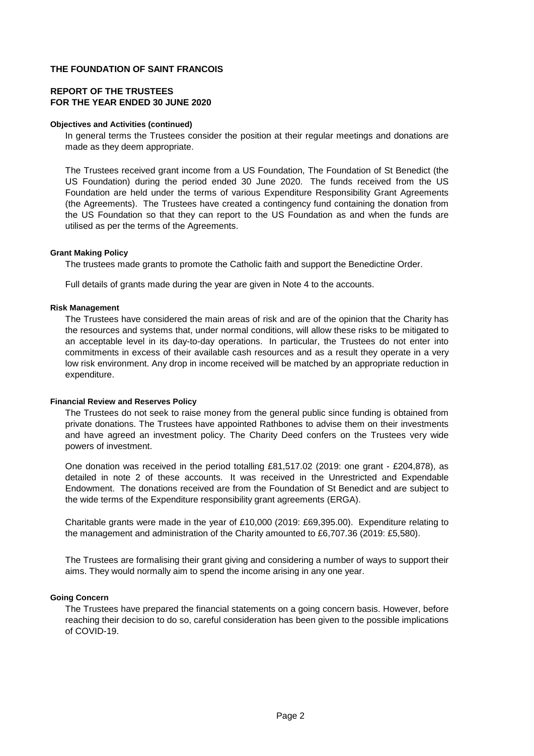# **REPORT OF THE TRUSTEES FOR THE YEAR ENDED 30 JUNE 2020**

### **Objectives and Activities (continued)**

In general terms the Trustees consider the position at their regular meetings and donations are made as they deem appropriate.

The Trustees received grant income from a US Foundation, The Foundation of St Benedict (the US Foundation) during the period ended 30 June 2020. The funds received from the US Foundation are held under the terms of various Expenditure Responsibility Grant Agreements (the Agreements). The Trustees have created a contingency fund containing the donation from the US Foundation so that they can report to the US Foundation as and when the funds are utilised as per the terms of the Agreements.

### **Grant Making Policy**

The trustees made grants to promote the Catholic faith and support the Benedictine Order.

Full details of grants made during the year are given in Note 4 to the accounts.

### **Risk Management**

The Trustees have considered the main areas of risk and are of the opinion that the Charity has the resources and systems that, under normal conditions, will allow these risks to be mitigated to an acceptable level in its day-to-day operations. In particular, the Trustees do not enter into commitments in excess of their available cash resources and as a result they operate in a very low risk environment. Any drop in income received will be matched by an appropriate reduction in expenditure.

### **Financial Review and Reserves Policy**

The Trustees do not seek to raise money from the general public since funding is obtained from private donations. The Trustees have appointed Rathbones to advise them on their investments and have agreed an investment policy. The Charity Deed confers on the Trustees very wide powers of investment.

One donation was received in the period totalling £81,517.02 (2019: one grant - £204,878), as detailed in note 2 of these accounts. It was received in the Unrestricted and Expendable Endowment. The donations received are from the Foundation of St Benedict and are subject to the wide terms of the Expenditure responsibility grant agreements (ERGA).

Charitable grants were made in the year of £10,000 (2019: £69,395.00). Expenditure relating to the management and administration of the Charity amounted to £6,707.36 (2019: £5,580).

The Trustees are formalising their grant giving and considering a number of ways to support their aims. They would normally aim to spend the income arising in any one year.

### **Going Concern**

The Trustees have prepared the financial statements on a going concern basis. However, before reaching their decision to do so, careful consideration has been given to the possible implications of COVID-19.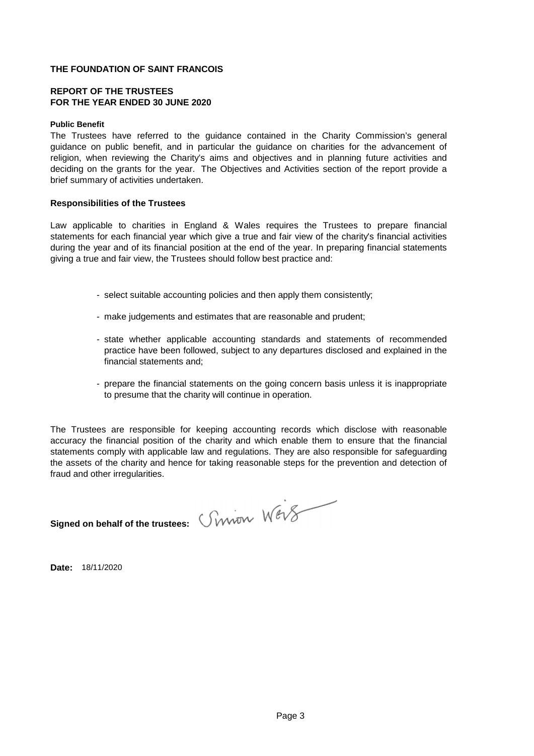## **REPORT OF THE TRUSTEES FOR THE YEAR ENDED 30 JUNE 2020**

### **Public Benefit**

The Trustees have referred to the guidance contained in the Charity Commission's general guidance on public benefit, and in particular the guidance on charities for the advancement of religion, when reviewing the Charity's aims and objectives and in planning future activities and deciding on the grants for the year. The Objectives and Activities section of the report provide a brief summary of activities undertaken.

### **Responsibilities of the Trustees**

Law applicable to charities in England & Wales requires the Trustees to prepare financial statements for each financial year which give a true and fair view of the charity's financial activities during the year and of its financial position at the end of the year. In preparing financial statements giving a true and fair view, the Trustees should follow best practice and:

- select suitable accounting policies and then apply them consistently;
- make judgements and estimates that are reasonable and prudent;
- state whether applicable accounting standards and statements of recommended practice have been followed, subject to any departures disclosed and explained in the financial statements and;
- prepare the financial statements on the going concern basis unless it is inappropriate to presume that the charity will continue in operation.

The Trustees are responsible for keeping accounting records which disclose with reasonable accuracy the financial position of the charity and which enable them to ensure that the financial statements comply with applicable law and regulations. They are also responsible for safeguarding the assets of the charity and hence for taking reasonable steps for the prevention and detection of fraud and other irregularities.

**Signed on behalf of the trustees:** *Crwith Wev* 

**Date:** 18/11/2020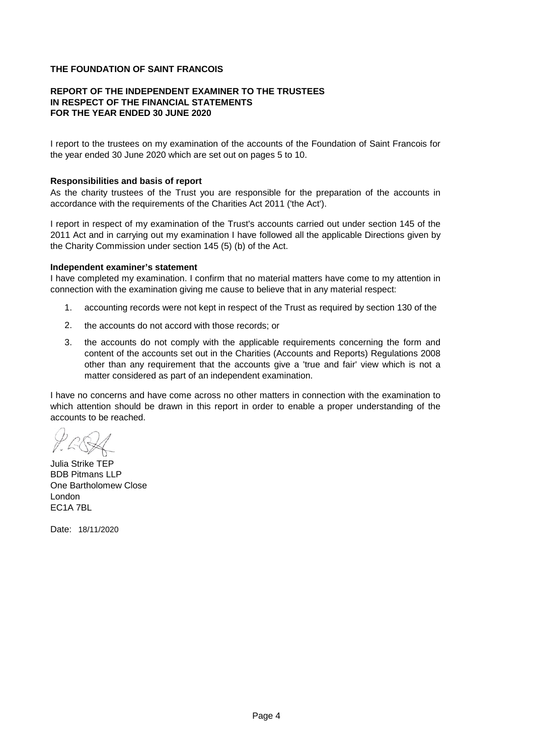## **REPORT OF THE INDEPENDENT EXAMINER TO THE TRUSTEES IN RESPECT OF THE FINANCIAL STATEMENTS FOR THE YEAR ENDED 30 JUNE 2020**

I report to the trustees on my examination of the accounts of the Foundation of Saint Francois for the year ended 30 June 2020 which are set out on pages 5 to 10.

## **Responsibilities and basis of report**

As the charity trustees of the Trust you are responsible for the preparation of the accounts in accordance with the requirements of the Charities Act 2011 ('the Act').

I report in respect of my examination of the Trust's accounts carried out under section 145 of the 2011 Act and in carrying out my examination I have followed all the applicable Directions given by the Charity Commission under section 145 (5) (b) of the Act.

### **Independent examiner's statement**

I have completed my examination. I confirm that no material matters have come to my attention in connection with the examination giving me cause to believe that in any material respect:

- 1. accounting records were not kept in respect of the Trust as required by section 130 of the
- 2. the accounts do not accord with those records; or
- 3. the accounts do not comply with the applicable requirements concerning the form and content of the accounts set out in the Charities (Accounts and Reports) Regulations 2008 other than any requirement that the accounts give a 'true and fair' view which is not a matter considered as part of an independent examination.

I have no concerns and have come across no other matters in connection with the examination to which attention should be drawn in this report in order to enable a proper understanding of the accounts to be reached.

Julia Strike TEP BDB Pitmans LLP One Bartholomew Close London EC1A 7BL

Date: 18/11/2020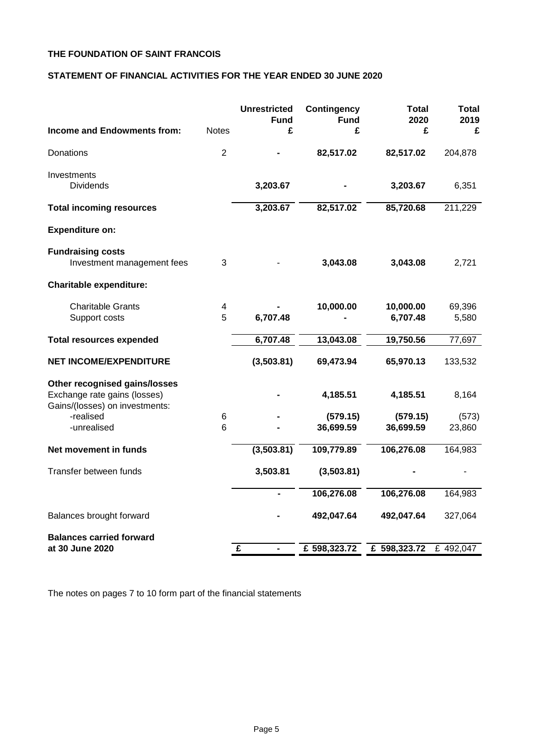# **STATEMENT OF FINANCIAL ACTIVITIES FOR THE YEAR ENDED 30 JUNE 2020**

| <b>Income and Endowments from:</b>                                                              | <b>Notes</b>   | <b>Unrestricted</b><br><b>Fund</b><br>£ | <b>Contingency</b><br><b>Fund</b><br>£ | <b>Total</b><br>2020<br>£ | Total<br>2019<br>£ |
|-------------------------------------------------------------------------------------------------|----------------|-----------------------------------------|----------------------------------------|---------------------------|--------------------|
| Donations                                                                                       | $\overline{2}$ |                                         | 82,517.02                              | 82,517.02                 | 204,878            |
| Investments<br><b>Dividends</b>                                                                 |                | 3,203.67                                |                                        | 3,203.67                  | 6,351              |
| <b>Total incoming resources</b>                                                                 |                | 3,203.67                                | 82,517.02                              | 85,720.68                 | 211,229            |
| <b>Expenditure on:</b>                                                                          |                |                                         |                                        |                           |                    |
| <b>Fundraising costs</b><br>Investment management fees                                          | 3              |                                         | 3,043.08                               | 3,043.08                  | 2,721              |
| <b>Charitable expenditure:</b>                                                                  |                |                                         |                                        |                           |                    |
| <b>Charitable Grants</b><br>Support costs                                                       | 4<br>5         | 6,707.48                                | 10,000.00                              | 10,000.00<br>6,707.48     | 69,396<br>5,580    |
| <b>Total resources expended</b>                                                                 |                | 6,707.48                                | 13,043.08                              | 19,750.56                 | 77,697             |
| <b>NET INCOME/EXPENDITURE</b>                                                                   |                | (3,503.81)                              | 69,473.94                              | 65,970.13                 | 133,532            |
| Other recognised gains/losses<br>Exchange rate gains (losses)<br>Gains/(losses) on investments: |                |                                         | 4,185.51                               | 4,185.51                  | 8,164              |
| -realised<br>-unrealised                                                                        | 6<br>6         |                                         | (579.15)<br>36,699.59                  | (579.15)<br>36,699.59     | (573)<br>23,860    |
| Net movement in funds                                                                           |                | (3,503.81)                              | 109,779.89                             | 106,276.08                | 164,983            |
| Transfer between funds                                                                          |                | 3,503.81                                | (3,503.81)                             |                           |                    |
|                                                                                                 |                |                                         | 106,276.08                             | 106,276.08                | 164,983            |
| Balances brought forward                                                                        |                |                                         | 492,047.64                             | 492,047.64                | 327,064            |
| <b>Balances carried forward</b><br>at 30 June 2020                                              |                | £                                       | £ 598,323.72                           | £ 598,323.72              | £ 492,047          |
|                                                                                                 |                |                                         |                                        |                           |                    |

The notes on pages 7 to 10 form part of the financial statements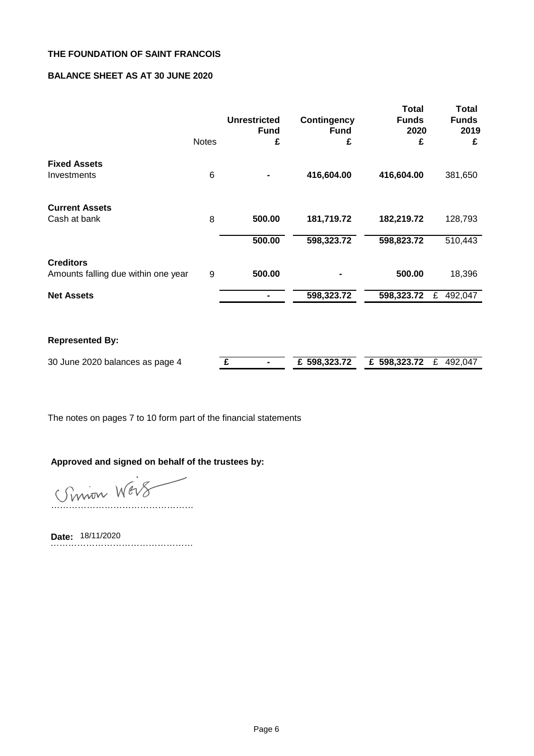# **BALANCE SHEET AS AT 30 JUNE 2020**

|                                                         | <b>Notes</b> | <b>Unrestricted</b><br><b>Fund</b><br>£ | <b>Contingency</b><br><b>Fund</b><br>£ | <b>Total</b><br><b>Funds</b><br>2020<br>£ | Total<br><b>Funds</b><br>2019<br>£ |
|---------------------------------------------------------|--------------|-----------------------------------------|----------------------------------------|-------------------------------------------|------------------------------------|
| <b>Fixed Assets</b><br>Investments                      | 6            |                                         | 416,604.00                             | 416,604.00                                | 381,650                            |
| <b>Current Assets</b><br>Cash at bank                   | 8            | 500.00                                  | 181,719.72                             | 182,219.72                                | 128,793                            |
|                                                         |              | 500.00                                  | 598,323.72                             | 598,823.72                                | 510,443                            |
| <b>Creditors</b><br>Amounts falling due within one year | 9            | 500.00                                  |                                        | 500.00                                    | 18,396                             |
| <b>Net Assets</b>                                       |              |                                         | 598,323.72                             | 598,323.72                                | £<br>492,047                       |
|                                                         |              |                                         |                                        |                                           |                                    |
| <b>Represented By:</b>                                  |              |                                         |                                        |                                           |                                    |
| 30 June 2020 balances as page 4                         |              | £                                       | £ 598,323.72                           | £ 598,323.72                              | £<br>492,047                       |

The notes on pages 7 to 10 form part of the financial statements

# **Approved and signed on behalf of the trustees by:**

Simon Wers

**Date:** ………………………………………… Date: 18/11/2020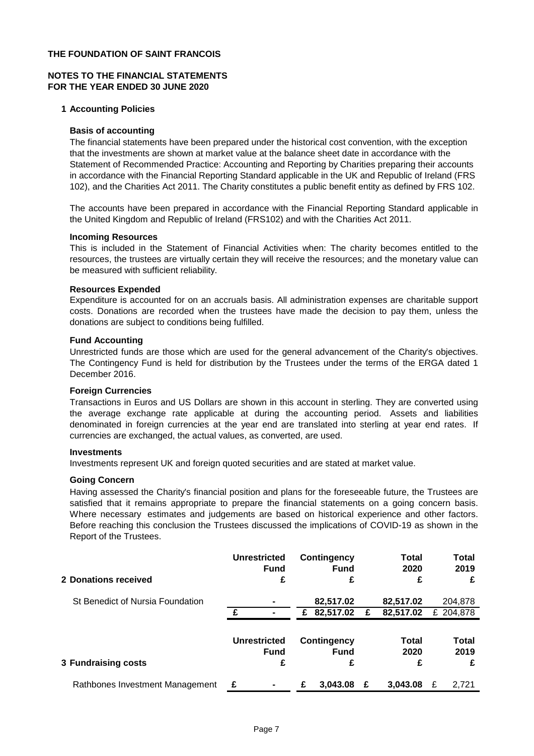# **NOTES TO THE FINANCIAL STATEMENTS FOR THE YEAR ENDED 30 JUNE 2020**

### **1 Accounting Policies**

### **Basis of accounting**

The financial statements have been prepared under the historical cost convention, with the exception that the investments are shown at market value at the balance sheet date in accordance with the Statement of Recommended Practice: Accounting and Reporting by Charities preparing their accounts in accordance with the Financial Reporting Standard applicable in the UK and Republic of Ireland (FRS 102), and the Charities Act 2011. The Charity constitutes a public benefit entity as defined by FRS 102.

The accounts have been prepared in accordance with the Financial Reporting Standard applicable in the United Kingdom and Republic of Ireland (FRS102) and with the Charities Act 2011.

### **Incoming Resources**

This is included in the Statement of Financial Activities when: The charity becomes entitled to the resources, the trustees are virtually certain they will receive the resources; and the monetary value can be measured with sufficient reliability.

### **Resources Expended**

Expenditure is accounted for on an accruals basis. All administration expenses are charitable support costs. Donations are recorded when the trustees have made the decision to pay them, unless the donations are subject to conditions being fulfilled.

### **Fund Accounting**

Unrestricted funds are those which are used for the general advancement of the Charity's objectives. The Contingency Fund is held for distribution by the Trustees under the terms of the ERGA dated 1 December 2016.

### **Foreign Currencies**

Transactions in Euros and US Dollars are shown in this account in sterling. They are converted using the average exchange rate applicable at during the accounting period. Assets and liabilities denominated in foreign currencies at the year end are translated into sterling at year end rates. If currencies are exchanged, the actual values, as converted, are used.

#### **Investments**

Investments represent UK and foreign quoted securities and are stated at market value.

### **Going Concern**

Having assessed the Charity's financial position and plans for the foreseeable future, the Trustees are satisfied that it remains appropriate to prepare the financial statements on a going concern basis. Where necessary estimates and judgements are based on historical experience and other factors. Before reaching this conclusion the Trustees discussed the implications of COVID-19 as shown in the Report of the Trustees.

| 2 Donations received             |   | <b>Unrestricted</b><br><b>Fund</b><br>£ |   | <b>Contingency</b><br><b>Fund</b><br>£ |   | <b>Total</b><br>2020<br>£ |   | Total<br>2019<br>£   |
|----------------------------------|---|-----------------------------------------|---|----------------------------------------|---|---------------------------|---|----------------------|
| St Benedict of Nursia Foundation | £ |                                         | £ | 82,517.02<br>82,517.02                 | £ | 82,517.02<br>82,517.02    |   | 204,878<br>£ 204,878 |
|                                  |   |                                         |   |                                        |   |                           |   |                      |
|                                  |   | <b>Unrestricted</b><br>Fund             |   | <b>Contingency</b><br><b>Fund</b>      |   | Total<br>2020             |   | Total<br>2019        |
| <b>3 Fundraising costs</b>       |   | £                                       |   | £                                      |   | £                         |   | £                    |
| Rathbones Investment Management  | £ | ۰                                       | £ | 3,043.08                               | £ | 3,043.08                  | £ | 2.721                |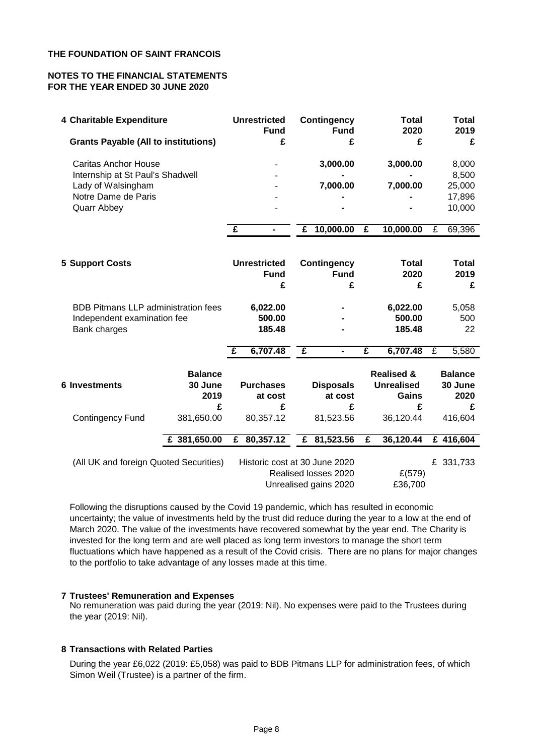# **NOTES TO THE FINANCIAL STATEMENTS FOR THE YEAR ENDED 30 JUNE 2020**

| 4 Charitable Expenditure                                        |                           | <b>Unrestricted</b> | <b>Fund</b>    | <b>Contingency</b><br><b>Fund</b>                                              | Total<br>2020 |                                            | <b>Total</b><br>2019 |                           |
|-----------------------------------------------------------------|---------------------------|---------------------|----------------|--------------------------------------------------------------------------------|---------------|--------------------------------------------|----------------------|---------------------------|
| <b>Grants Payable (All to institutions)</b>                     |                           | £                   |                | £                                                                              |               | £                                          |                      | £                         |
| <b>Caritas Anchor House</b><br>Internship at St Paul's Shadwell |                           |                     |                | 3,000.00                                                                       |               | 3,000.00                                   |                      | 8,000<br>8,500            |
| Lady of Walsingham                                              |                           |                     |                | 7,000.00                                                                       |               | 7,000.00                                   |                      | 25,000                    |
| Notre Dame de Paris                                             |                           |                     |                |                                                                                |               |                                            |                      | 17,896                    |
| <b>Quarr Abbey</b>                                              |                           |                     |                |                                                                                |               |                                            |                      | 10,000                    |
|                                                                 |                           | $\mathbf{f}$        | £<br>۰         | 10,000.00                                                                      | $\mathbf{f}$  | 10,000.00                                  | £                    | 69,396                    |
|                                                                 |                           |                     |                |                                                                                |               |                                            |                      |                           |
| <b>5 Support Costs</b>                                          |                           | <b>Unrestricted</b> |                | <b>Contingency</b>                                                             |               | <b>Total</b>                               |                      | <b>Total</b>              |
|                                                                 |                           |                     | <b>Fund</b>    | <b>Fund</b>                                                                    |               | 2020                                       |                      | 2019                      |
|                                                                 |                           |                     | £              | £                                                                              |               | £                                          |                      | £                         |
| <b>BDB Pitmans LLP administration fees</b>                      |                           | 6,022.00            |                |                                                                                |               | 6,022.00                                   |                      | 5,058                     |
| Independent examination fee                                     |                           |                     | 500.00         |                                                                                |               | 500.00                                     |                      | 500                       |
| Bank charges                                                    |                           |                     | 185.48         |                                                                                |               | 185.48                                     |                      | 22                        |
|                                                                 |                           | 6,707.48<br>£       | $\overline{f}$ | $\blacksquare$                                                                 | £             | 6,707.48                                   | $\overline{f}$       | 5,580                     |
| <b>6 Investments</b>                                            | <b>Balance</b><br>30 June | <b>Purchases</b>    |                | <b>Disposals</b>                                                               |               | <b>Realised &amp;</b><br><b>Unrealised</b> |                      | <b>Balance</b><br>30 June |
|                                                                 | 2019                      |                     | at cost        | at cost                                                                        |               | Gains                                      |                      | 2020                      |
|                                                                 | £                         |                     | £              | £                                                                              |               | £                                          |                      | £                         |
| <b>Contingency Fund</b>                                         | 381,650.00                | 80,357.12           |                | 81,523.56                                                                      |               | 36,120.44                                  |                      | 416,604                   |
|                                                                 | £ 381,650.00              | 80,357.12<br>£      | £              | 81,523.56                                                                      | £             | 36,120.44                                  |                      | £ 416,604                 |
| (All UK and foreign Quoted Securities)                          |                           |                     |                | Historic cost at 30 June 2020<br>Realised losses 2020<br>Unrealised gains 2020 |               | £(579)<br>£36,700                          |                      | £ 331,733                 |

Following the disruptions caused by the Covid 19 pandemic, which has resulted in economic uncertainty; the value of investments held by the trust did reduce during the year to a low at the end of March 2020. The value of the investments have recovered somewhat by the year end. The Charity is invested for the long term and are well placed as long term investors to manage the short term fluctuations which have happened as a result of the Covid crisis. There are no plans for major changes to the portfolio to take advantage of any losses made at this time.

### **7 Trustees' Remuneration and Expenses**

No remuneration was paid during the year (2019: Nil). No expenses were paid to the Trustees during the year (2019: Nil).

# **8 Transactions with Related Parties**

During the year £6,022 (2019: £5,058) was paid to BDB Pitmans LLP for administration fees, of which Simon Weil (Trustee) is a partner of the firm.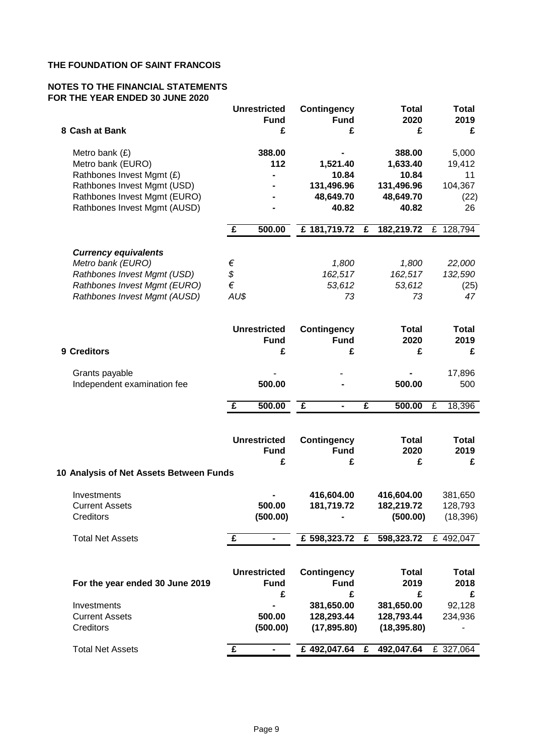## **NOTES TO THE FINANCIAL STATEMENTS FOR THE YEAR ENDED 30 JUNE 2020**

|                                                             |              | <b>Unrestricted</b><br><b>Fund</b> | <b>Contingency</b><br><b>Fund</b> |              | <b>Total</b><br>2020    | <b>Total</b><br>2019 |
|-------------------------------------------------------------|--------------|------------------------------------|-----------------------------------|--------------|-------------------------|----------------------|
| 8 Cash at Bank                                              |              | £                                  | £                                 |              | £                       | £                    |
| Metro bank $(E)$                                            |              | 388.00                             |                                   |              | 388.00                  | 5,000                |
| Metro bank (EURO)                                           |              | 112                                | 1,521.40                          |              | 1,633.40                | 19,412               |
| Rathbones Invest Mgmt (£)                                   |              |                                    | 10.84<br>131,496.96               |              | 10.84                   | 11<br>104,367        |
| Rathbones Invest Mgmt (USD)<br>Rathbones Invest Mgmt (EURO) |              |                                    | 48,649.70                         |              | 131,496.96<br>48,649.70 | (22)                 |
| Rathbones Invest Mgmt (AUSD)                                |              |                                    | 40.82                             |              | 40.82                   | 26                   |
|                                                             | $\mathbf{f}$ | 500.00                             | £ 181,719.72                      | £            | 182,219.72              | £ 128,794            |
| <b>Currency equivalents</b>                                 |              |                                    |                                   |              |                         |                      |
| Metro bank (EURO)                                           | €            |                                    | 1,800                             |              | 1,800                   | 22,000               |
| Rathbones Invest Mgmt (USD)                                 | \$           |                                    | 162,517                           |              | 162,517                 | 132,590              |
| Rathbones Invest Mgmt (EURO)                                | $\in$        |                                    | 53,612                            |              | 53,612                  | (25)                 |
| Rathbones Invest Mgmt (AUSD)                                | AU\$         |                                    | 73                                |              | 73                      | 47                   |
|                                                             |              | <b>Unrestricted</b>                |                                   |              |                         |                      |
|                                                             |              | <b>Fund</b>                        | <b>Contingency</b><br><b>Fund</b> |              | <b>Total</b><br>2020    | <b>Total</b><br>2019 |
| 9 Creditors                                                 |              | £                                  | £                                 |              | £                       | £                    |
|                                                             |              |                                    |                                   |              |                         |                      |
| Grants payable                                              |              |                                    |                                   |              |                         | 17,896               |
| Independent examination fee                                 |              | 500.00                             |                                   |              | 500.00                  | 500                  |
|                                                             |              |                                    |                                   |              |                         |                      |
|                                                             | $\mathbf{f}$ | 500.00                             | £<br>$\blacksquare$               | £            | 500.00                  | £<br>18,396          |
|                                                             |              |                                    |                                   |              |                         |                      |
|                                                             |              | <b>Unrestricted</b>                | <b>Contingency</b><br><b>Fund</b> |              | <b>Total</b>            | <b>Total</b>         |
|                                                             |              | <b>Fund</b>                        |                                   |              | 2020                    | 2019                 |
|                                                             |              | £                                  | £                                 |              | £                       | £                    |
| 10 Analysis of Net Assets Between Funds                     |              |                                    |                                   |              |                         |                      |
| Investments                                                 |              |                                    | 416,604.00                        |              | 416,604.00              | 381,650              |
| <b>Current Assets</b>                                       |              | 500.00                             | 181,719.72                        |              | 182,219.72              | 128,793              |
| Creditors                                                   |              | (500.00)                           |                                   |              | (500.00)                | (18, 396)            |
|                                                             |              |                                    |                                   |              |                         |                      |
| <b>Total Net Assets</b>                                     | $\mathbf{f}$ |                                    | £ 598,323.72 £ 598,323.72         |              |                         | £ 492,047            |
|                                                             |              |                                    |                                   |              |                         |                      |
|                                                             |              | <b>Unrestricted</b>                | <b>Contingency</b>                |              | <b>Total</b>            | <b>Total</b>         |
| For the year ended 30 June 2019                             |              | <b>Fund</b>                        | <b>Fund</b>                       |              | 2019                    | 2018                 |
|                                                             |              | £                                  | £                                 |              | £                       | £                    |
| Investments                                                 |              |                                    | 381,650.00                        |              | 381,650.00              | 92,128               |
| <b>Current Assets</b>                                       |              | 500.00                             | 128,293.44                        |              | 128,793.44              | 234,936              |
| Creditors                                                   |              | (500.00)                           | (17, 895.80)                      |              | (18, 395.80)            |                      |
| <b>Total Net Assets</b>                                     | £            | $\blacksquare$                     | £492,047.64                       | $\mathbf{f}$ | 492,047.64              | £ 327,064            |
|                                                             |              |                                    |                                   |              |                         |                      |